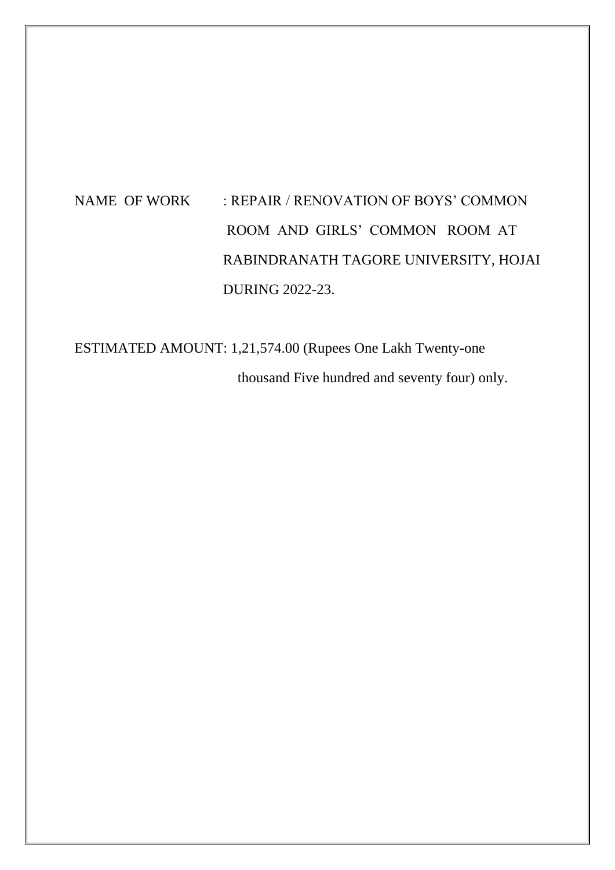# NAME OF WORK : REPAIR / RENOVATION OF BOYS' COMMON ROOM AND GIRLS' COMMON ROOM AT RABINDRANATH TAGORE UNIVERSITY, HOJAI DURING 2022-23.

ESTIMATED AMOUNT: 1,21,574.00 (Rupees One Lakh Twenty-one thousand Five hundred and seventy four) only.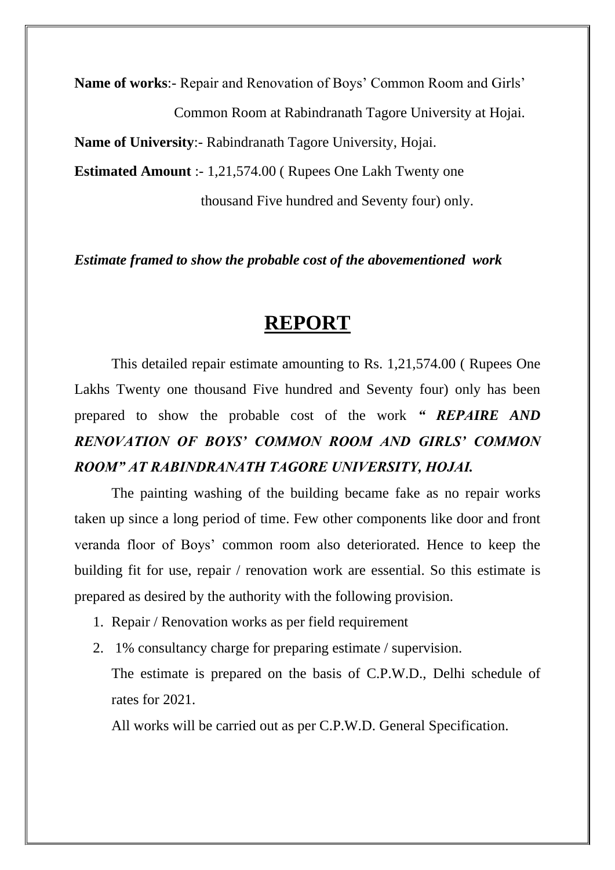**Name of works**:- Repair and Renovation of Boys' Common Room and Girls' Common Room at Rabindranath Tagore University at Hojai. **Name of University**:- Rabindranath Tagore University, Hojai. **Estimated Amount** :- 1,21,574.00 ( Rupees One Lakh Twenty one thousand Five hundred and Seventy four) only.

*Estimate framed to show the probable cost of the abovementioned work*

## **REPORT**

This detailed repair estimate amounting to Rs. 1,21,574.00 ( Rupees One Lakhs Twenty one thousand Five hundred and Seventy four) only has been prepared to show the probable cost of the work *" REPAIRE AND RENOVATION OF BOYS' COMMON ROOM AND GIRLS' COMMON ROOM" AT RABINDRANATH TAGORE UNIVERSITY, HOJAI.*

The painting washing of the building became fake as no repair works taken up since a long period of time. Few other components like door and front veranda floor of Boys' common room also deteriorated. Hence to keep the building fit for use, repair / renovation work are essential. So this estimate is prepared as desired by the authority with the following provision.

- 1. Repair / Renovation works as per field requirement
- 2. 1% consultancy charge for preparing estimate / supervision.

The estimate is prepared on the basis of C.P.W.D., Delhi schedule of rates for 2021.

All works will be carried out as per C.P.W.D. General Specification.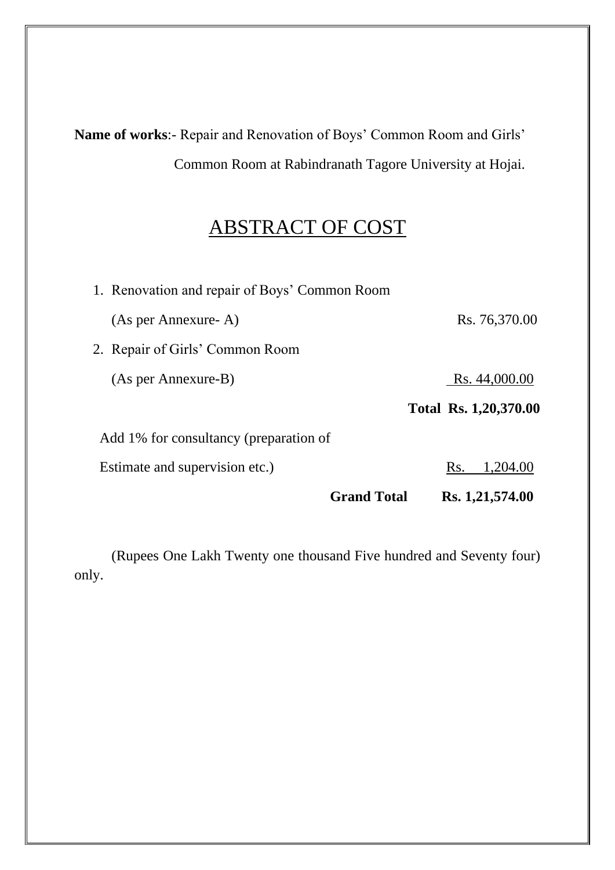**Name of works**:- Repair and Renovation of Boys' Common Room and Girls' Common Room at Rabindranath Tagore University at Hojai.

## ABSTRACT OF COST

| <b>Grand Total</b>                            | Rs. 1,21,574.00       |
|-----------------------------------------------|-----------------------|
| Estimate and supervision etc.)                | Rs.<br>1,204.00       |
| Add 1% for consultancy (preparation of        |                       |
|                                               | Total Rs. 1,20,370.00 |
| (As per Annexure-B)                           | Rs. 44,000.00         |
| 2. Repair of Girls' Common Room               |                       |
| (As per Annexure-A)                           | Rs. 76,370.00         |
| 1. Renovation and repair of Boys' Common Room |                       |

(Rupees One Lakh Twenty one thousand Five hundred and Seventy four) only.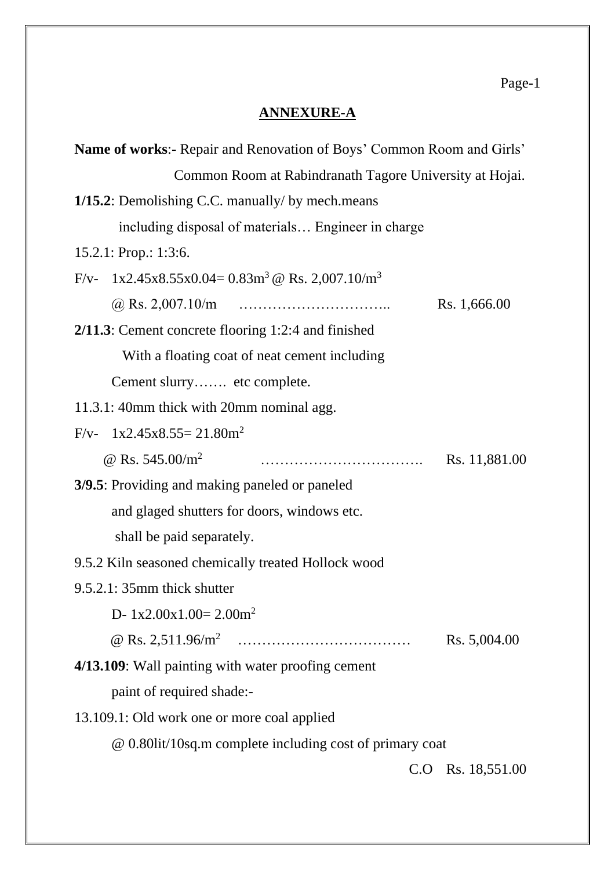## **ANNEXURE-A**

| <b>Name of works:</b> - Repair and Renovation of Boys' Common Room and Girls' |               |  |  |
|-------------------------------------------------------------------------------|---------------|--|--|
| Common Room at Rabindranath Tagore University at Hojai.                       |               |  |  |
| 1/15.2: Demolishing C.C. manually/ by mech.means                              |               |  |  |
| including disposal of materials Engineer in charge                            |               |  |  |
| 15.2.1: Prop.: 1:3:6.                                                         |               |  |  |
| $F/v-1x2.45x8.55x0.04=0.83m^3$ @ Rs. 2,007.10/m <sup>3</sup>                  |               |  |  |
| Rs. 1,666.00                                                                  |               |  |  |
| $2/11.3$ : Cement concrete flooring 1:2:4 and finished                        |               |  |  |
| With a floating coat of neat cement including                                 |               |  |  |
| Cement slurry etc complete.                                                   |               |  |  |
| 11.3.1: 40mm thick with 20mm nominal agg.                                     |               |  |  |
| $F/v - 1x2.45x8.55 = 21.80m^2$                                                |               |  |  |
| @ Rs. $545.00/m^2$                                                            | Rs. 11,881.00 |  |  |
| 3/9.5: Providing and making paneled or paneled                                |               |  |  |
| and glaged shutters for doors, windows etc.                                   |               |  |  |
| shall be paid separately.                                                     |               |  |  |
| 9.5.2 Kiln seasoned chemically treated Hollock wood                           |               |  |  |
| $9.5.2.1: 35mm$ thick shutter                                                 |               |  |  |
| D- $1x2.00x1.00=2.00m^2$                                                      |               |  |  |
|                                                                               | Rs. 5,004.00  |  |  |
| 4/13.109: Wall painting with water proofing cement                            |               |  |  |
| paint of required shade:-                                                     |               |  |  |
| 13.109.1: Old work one or more coal applied                                   |               |  |  |
| @ 0.80lit/10sq.m complete including cost of primary coat                      |               |  |  |
| C.O                                                                           | Rs. 18,551.00 |  |  |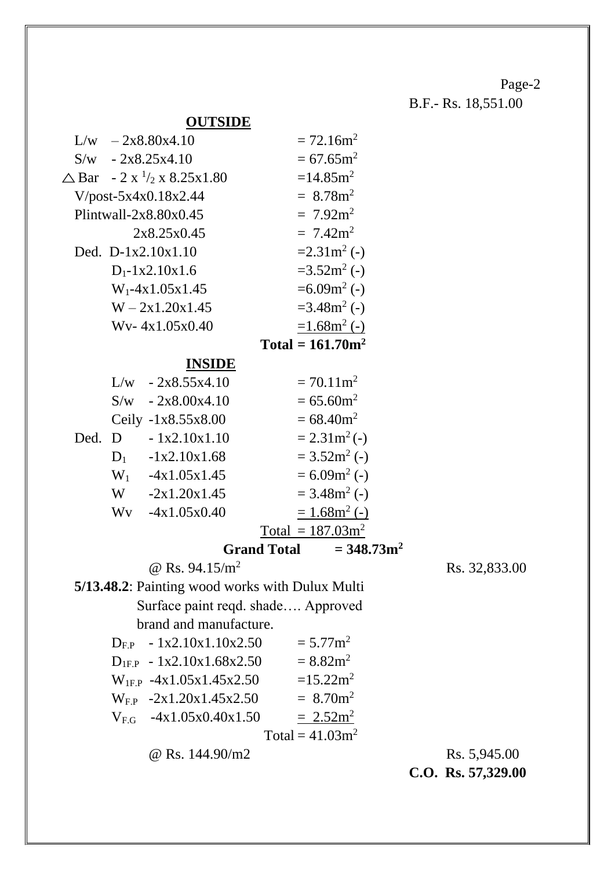B.F.- Rs. 18,551.00

### **OUTSIDE**

|  | $L/w$ - 2x8.80x4.10                             |                     | $= 72.16$ m <sup>2</sup>          |
|--|-------------------------------------------------|---------------------|-----------------------------------|
|  | $S/w$ - 2x8.25x4.10                             |                     | $= 67.65$ m <sup>2</sup>          |
|  | $\triangle$ Bar – 2 x $\frac{1}{2}$ x 8.25x1.80 |                     | $=14.85$ m <sup>2</sup>           |
|  | $V/post-5x4x0.18x2.44$                          |                     | $= 8.78$ m <sup>2</sup>           |
|  | Plintwall- $2x8.80x0.45$                        |                     | $= 7.92 \text{m}^2$               |
|  | 2x8.25x0.45                                     |                     | $= 7.42 \text{m}^2$               |
|  | Ded. $D-1x2.10x1.10$                            |                     | $=2.31\,\mathrm{m}^2$ (-)         |
|  | $D_1 - 1x2.10x1.6$                              |                     | $=3.52m^2$ (-)                    |
|  | $W_1$ -4x1.05x1.45                              |                     | $=6.09m^2$ (-)                    |
|  | $W - 2x1.20x1.45$                               |                     | $=3.48m^2$ (-)                    |
|  | Wy-4x1.05x0.40                                  |                     | $=1.68m^2(-)$                     |
|  |                                                 | Total = $161.70m^2$ |                                   |
|  | <b>INSIDE</b>                                   |                     |                                   |
|  | $L/w$ - 2x8.55x4.10                             |                     | $= 70.11$ m <sup>2</sup>          |
|  | $S/w$ - 2x8.00x4.10                             |                     | $= 65.60$ m <sup>2</sup>          |
|  | Ceily -1x8.55x8.00                              |                     | $= 68.40$ m <sup>2</sup>          |
|  | Ded. D $-1x2.10x1.10$                           |                     | $= 2.31 m2 (-)$                   |
|  | $D_1$ -1x2.10x1.68                              |                     | $=3.52m^2$ (-)                    |
|  | $W_1$ -4x1.05x1.45                              |                     | $= 6.09m^2$ (-)                   |
|  | $W = -2x1.20x1.45$                              |                     | $= 3.48 \text{m}^2$ (-)           |
|  | $Wv -4x1.05x0.40$                               |                     | $= 1.68$ m <sup>2</sup> (-)       |
|  |                                                 | Total = $187.03m^2$ |                                   |
|  |                                                 |                     | Grand Total $= 348.73 \text{m}^2$ |

 $\omega$  Rs. 94.15/m<sup>2</sup> Rs. 32,833.00

**5/13.48.2**: Painting wood works with Dulux Multi Surface paint reqd. shade…. Approved brand and manufacture.

| $D_{EP}$ - 1x2.10x1.10x2.50         | $= 5.77$ m <sup>2</sup> |              |
|-------------------------------------|-------------------------|--------------|
| $D_{IFP}$ - 1x2.10x1.68x2.50        | $= 8.82 \text{m}^2$     |              |
| $W_{\text{IF-P}}$ -4x1.05x1.45x2.50 | $=15.22 \text{m}^2$     |              |
| $W_{EP}$ -2x1.20x1.45x2.50          | $= 8.70$ m <sup>2</sup> |              |
| $V_{\text{EG}}$ -4x1.05x0.40x1.50   | $= 2.52 \text{m}^2$     |              |
|                                     | Total = $41.03m^2$      |              |
| @ Rs. $144.90/m2$                   |                         | Rs. 5,945.00 |

**C.O. Rs. 57,329.00**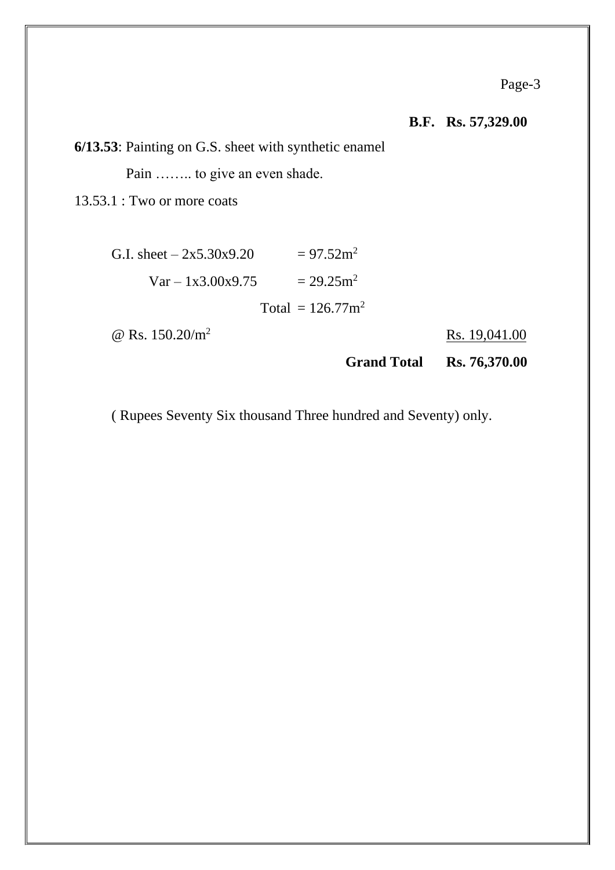**B.F. Rs. 57,329.00**

**6/13.53**: Painting on G.S. sheet with synthetic enamel

Pain …….. to give an even shade.

13.53.1 : Two or more coats

| G.I. sheet $-2x5.30x9.20$ | $= 97.52$ m <sup>2</sup>        |
|---------------------------|---------------------------------|
| $Var - 1x3.00x9.75$       | $= 29.25$ m <sup>2</sup>        |
|                           | Total = $126.77$ m <sup>2</sup> |

 $\omega$  Rs. 150.20/m<sup>2</sup> Rs. 19,041.00

**Grand Total Rs. 76,370.00**

( Rupees Seventy Six thousand Three hundred and Seventy) only.